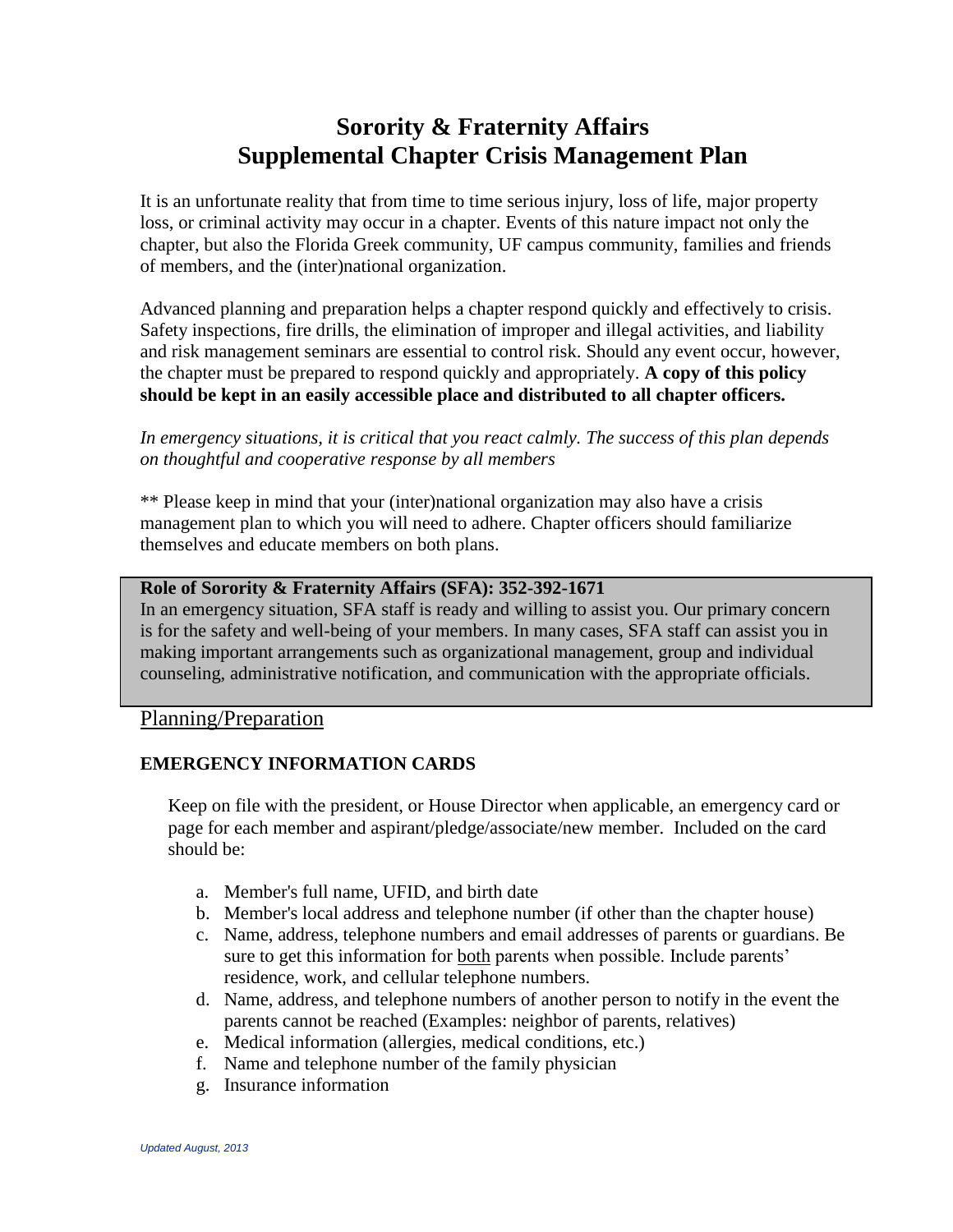# **Sorority & Fraternity Affairs Supplemental Chapter Crisis Management Plan**

It is an unfortunate reality that from time to time serious injury, loss of life, major property loss, or criminal activity may occur in a chapter. Events of this nature impact not only the chapter, but also the Florida Greek community, UF campus community, families and friends of members, and the (inter)national organization.

Advanced planning and preparation helps a chapter respond quickly and effectively to crisis. Safety inspections, fire drills, the elimination of improper and illegal activities, and liability and risk management seminars are essential to control risk. Should any event occur, however, the chapter must be prepared to respond quickly and appropriately. **A copy of this policy should be kept in an easily accessible place and distributed to all chapter officers.**

*In emergency situations, it is critical that you react calmly. The success of this plan depends on thoughtful and cooperative response by all members*

\*\* Please keep in mind that your (inter)national organization may also have a crisis management plan to which you will need to adhere. Chapter officers should familiarize themselves and educate members on both plans.

#### **Role of Sorority & Fraternity Affairs (SFA): 352-392-1671**

In an emergency situation, SFA staff is ready and willing to assist you. Our primary concern is for the safety and well-being of your members. In many cases, SFA staff can assist you in making important arrangements such as organizational management, group and individual counseling, administrative notification, and communication with the appropriate officials.

Planning/Preparation

## **EMERGENCY INFORMATION CARDS**

Keep on file with the president, or House Director when applicable, an emergency card or page for each member and aspirant/pledge/associate/new member. Included on the card should be:

- a. Member's full name, UFID, and birth date
- b. Member's local address and telephone number (if other than the chapter house)
- c. Name, address, telephone numbers and email addresses of parents or guardians. Be sure to get this information for both parents when possible. Include parents' residence, work, and cellular telephone numbers.
- d. Name, address, and telephone numbers of another person to notify in the event the parents cannot be reached (Examples: neighbor of parents, relatives)
- e. Medical information (allergies, medical conditions, etc.)
- f. Name and telephone number of the family physician
- g. Insurance information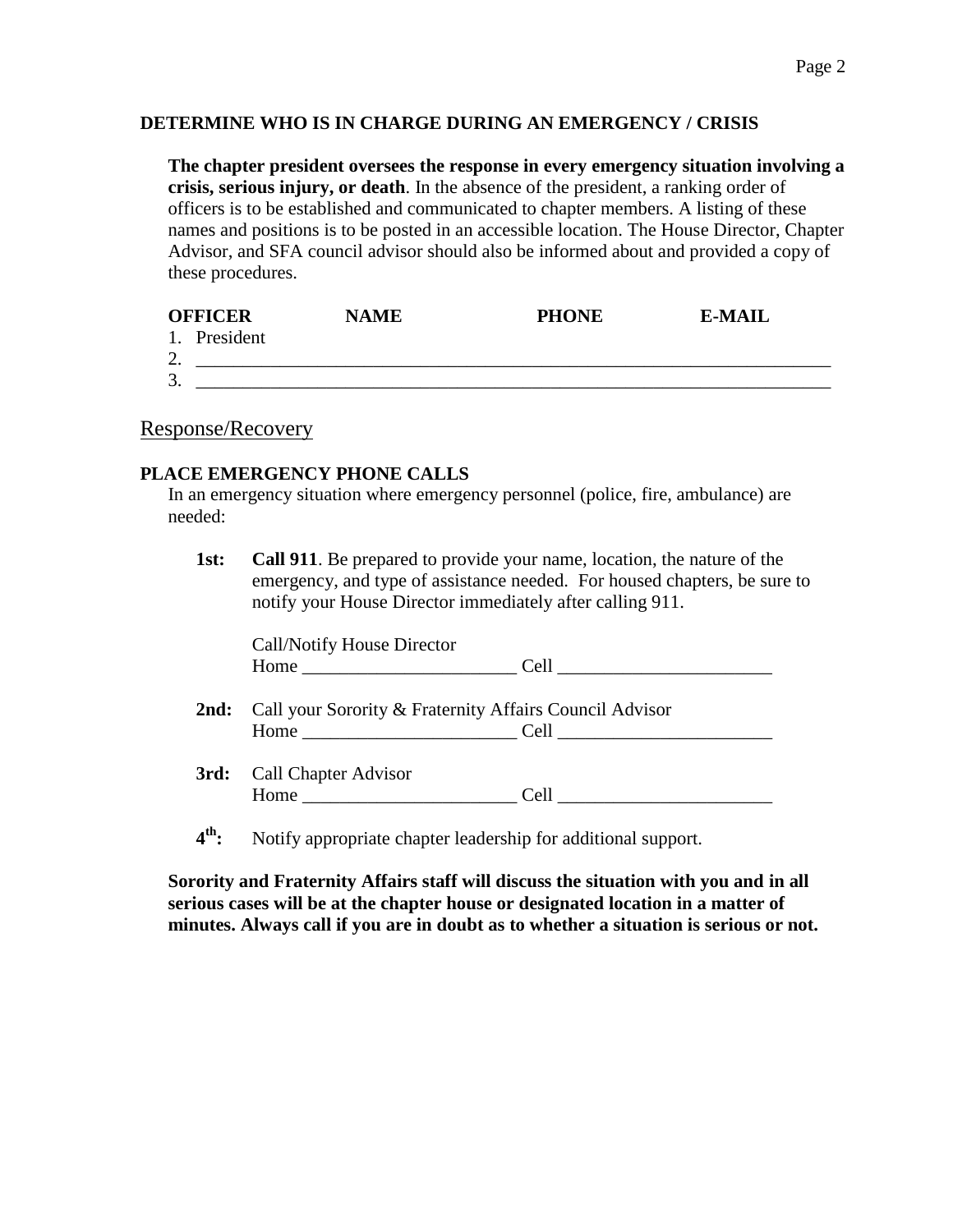# **DETERMINE WHO IS IN CHARGE DURING AN EMERGENCY / CRISIS**

**The chapter president oversees the response in every emergency situation involving a crisis, serious injury, or death**. In the absence of the president, a ranking order of officers is to be established and communicated to chapter members. A listing of these names and positions is to be posted in an accessible location. The House Director, Chapter Advisor, and SFA council advisor should also be informed about and provided a copy of these procedures.

| <b>OFFICER</b> |              | <b>NAME</b> | <b>PHONE</b> | E-MAIL |
|----------------|--------------|-------------|--------------|--------|
|                | 1. President |             |              |        |
| ◠<br>ـ ت       |              |             |              |        |
| 3.             |              |             |              |        |

# Response/Recovery

## **PLACE EMERGENCY PHONE CALLS**

In an emergency situation where emergency personnel (police, fire, ambulance) are needed:

| 1st: | <b>Call 911.</b> Be prepared to provide your name, location, the nature of the |  |  |
|------|--------------------------------------------------------------------------------|--|--|
|      | emergency, and type of assistance needed. For housed chapters, be sure to      |  |  |
|      | notify your House Director immediately after calling 911.                      |  |  |

| Call/Notify House Director                                                                                                                                                                                                     |                                                  |  |
|--------------------------------------------------------------------------------------------------------------------------------------------------------------------------------------------------------------------------------|--------------------------------------------------|--|
|                                                                                                                                                                                                                                |                                                  |  |
| <b>2nd:</b> Call your Sorority & Fraternity Affairs Council Advisor                                                                                                                                                            |                                                  |  |
|                                                                                                                                                                                                                                | $Home$ $Cell$ $\qquad \qquad \qquad \text{Cell}$ |  |
| <b>3rd:</b> Call Chapter Advisor                                                                                                                                                                                               |                                                  |  |
| Home has a series of the series of the series of the series of the series of the series of the series of the series of the series of the series of the series of the series of the series of the series of the series of the s |                                                  |  |
|                                                                                                                                                                                                                                |                                                  |  |

 $4<sup>th</sup>$ **th:** Notify appropriate chapter leadership for additional support.

**Sorority and Fraternity Affairs staff will discuss the situation with you and in all serious cases will be at the chapter house or designated location in a matter of minutes. Always call if you are in doubt as to whether a situation is serious or not.**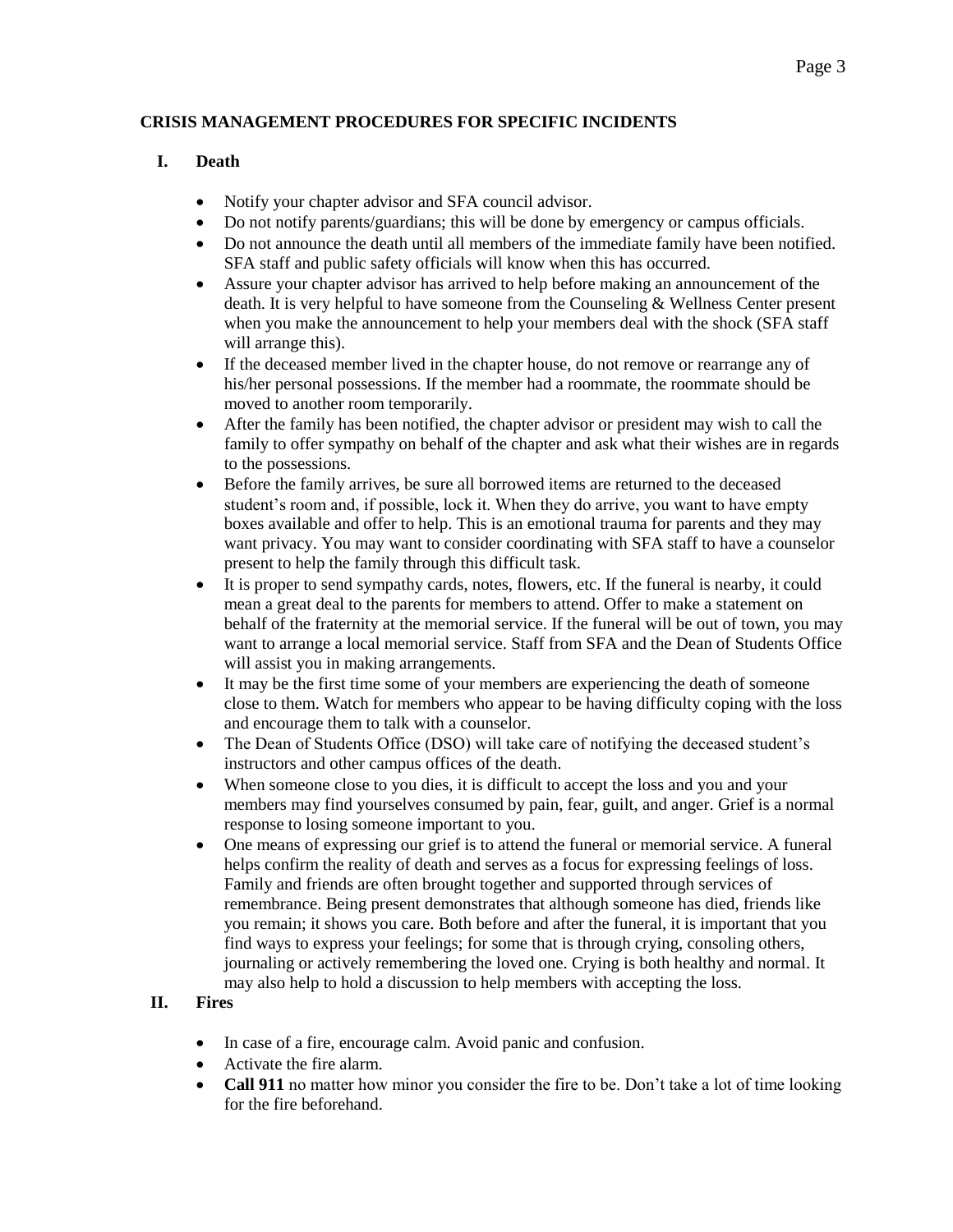## **CRISIS MANAGEMENT PROCEDURES FOR SPECIFIC INCIDENTS**

# **I. Death**

- Notify your chapter advisor and SFA council advisor.
- Do not notify parents/guardians; this will be done by emergency or campus officials.
- Do not announce the death until all members of the immediate family have been notified. SFA staff and public safety officials will know when this has occurred.
- Assure your chapter advisor has arrived to help before making an announcement of the death. It is very helpful to have someone from the Counseling & Wellness Center present when you make the announcement to help your members deal with the shock (SFA staff will arrange this).
- If the deceased member lived in the chapter house, do not remove or rearrange any of his/her personal possessions. If the member had a roommate, the roommate should be moved to another room temporarily.
- After the family has been notified, the chapter advisor or president may wish to call the family to offer sympathy on behalf of the chapter and ask what their wishes are in regards to the possessions.
- Before the family arrives, be sure all borrowed items are returned to the deceased student's room and, if possible, lock it. When they do arrive, you want to have empty boxes available and offer to help. This is an emotional trauma for parents and they may want privacy. You may want to consider coordinating with SFA staff to have a counselor present to help the family through this difficult task.
- It is proper to send sympathy cards, notes, flowers, etc. If the funeral is nearby, it could mean a great deal to the parents for members to attend. Offer to make a statement on behalf of the fraternity at the memorial service. If the funeral will be out of town, you may want to arrange a local memorial service. Staff from SFA and the Dean of Students Office will assist you in making arrangements.
- It may be the first time some of your members are experiencing the death of someone close to them. Watch for members who appear to be having difficulty coping with the loss and encourage them to talk with a counselor.
- The Dean of Students Office (DSO) will take care of notifying the deceased student's instructors and other campus offices of the death.
- When someone close to you dies, it is difficult to accept the loss and you and your members may find yourselves consumed by pain, fear, guilt, and anger. Grief is a normal response to losing someone important to you.
- One means of expressing our grief is to attend the funeral or memorial service. A funeral helps confirm the reality of death and serves as a focus for expressing feelings of loss. Family and friends are often brought together and supported through services of remembrance. Being present demonstrates that although someone has died, friends like you remain; it shows you care. Both before and after the funeral, it is important that you find ways to express your feelings; for some that is through crying, consoling others, journaling or actively remembering the loved one. Crying is both healthy and normal. It may also help to hold a discussion to help members with accepting the loss.

# **II. Fires**

- In case of a fire, encourage calm. Avoid panic and confusion.
- Activate the fire alarm.
- **Call 911** no matter how minor you consider the fire to be. Don't take a lot of time looking for the fire beforehand.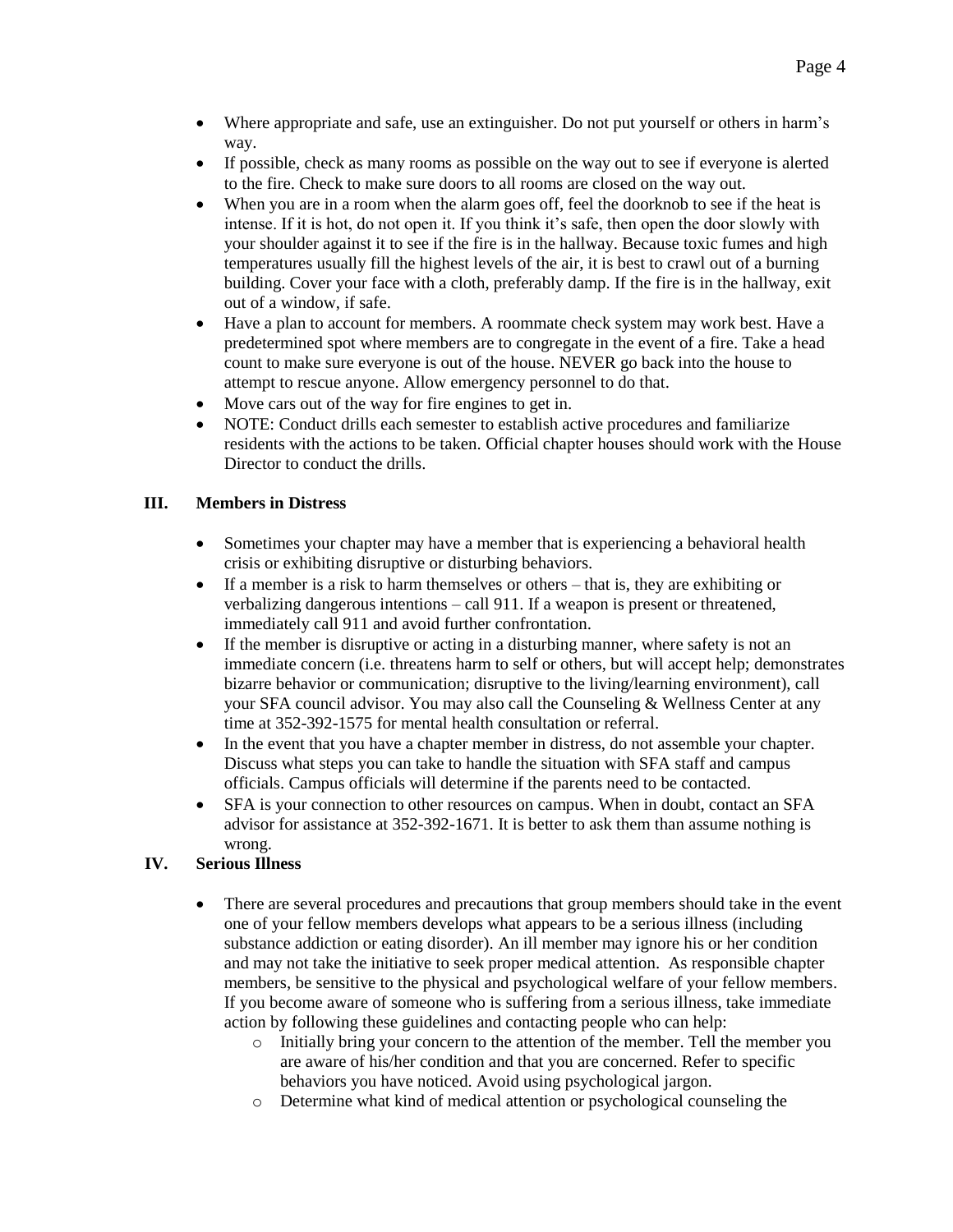- Where appropriate and safe, use an extinguisher. Do not put yourself or others in harm's way.
- If possible, check as many rooms as possible on the way out to see if everyone is alerted to the fire. Check to make sure doors to all rooms are closed on the way out.
- When you are in a room when the alarm goes off, feel the doorknob to see if the heat is intense. If it is hot, do not open it. If you think it's safe, then open the door slowly with your shoulder against it to see if the fire is in the hallway. Because toxic fumes and high temperatures usually fill the highest levels of the air, it is best to crawl out of a burning building. Cover your face with a cloth, preferably damp. If the fire is in the hallway, exit out of a window, if safe.
- Have a plan to account for members. A roommate check system may work best. Have a predetermined spot where members are to congregate in the event of a fire. Take a head count to make sure everyone is out of the house. NEVER go back into the house to attempt to rescue anyone. Allow emergency personnel to do that.
- Move cars out of the way for fire engines to get in.
- NOTE: Conduct drills each semester to establish active procedures and familiarize residents with the actions to be taken. Official chapter houses should work with the House Director to conduct the drills.

#### **III. Members in Distress**

- Sometimes your chapter may have a member that is experiencing a behavioral health crisis or exhibiting disruptive or disturbing behaviors.
- If a member is a risk to harm themselves or others that is, they are exhibiting or verbalizing dangerous intentions – call 911. If a weapon is present or threatened, immediately call 911 and avoid further confrontation.
- If the member is disruptive or acting in a disturbing manner, where safety is not an immediate concern (i.e. threatens harm to self or others, but will accept help; demonstrates bizarre behavior or communication; disruptive to the living/learning environment), call your SFA council advisor. You may also call the Counseling & Wellness Center at any time at 352-392-1575 for mental health consultation or referral.
- In the event that you have a chapter member in distress, do not assemble your chapter. Discuss what steps you can take to handle the situation with SFA staff and campus officials. Campus officials will determine if the parents need to be contacted.
- SFA is your connection to other resources on campus. When in doubt, contact an SFA advisor for assistance at 352-392-1671. It is better to ask them than assume nothing is wrong.

## **IV. Serious Illness**

- There are several procedures and precautions that group members should take in the event one of your fellow members develops what appears to be a serious illness (including substance addiction or eating disorder). An ill member may ignore his or her condition and may not take the initiative to seek proper medical attention. As responsible chapter members, be sensitive to the physical and psychological welfare of your fellow members. If you become aware of someone who is suffering from a serious illness, take immediate action by following these guidelines and contacting people who can help:
	- o Initially bring your concern to the attention of the member. Tell the member you are aware of his/her condition and that you are concerned. Refer to specific behaviors you have noticed. Avoid using psychological jargon.
	- o Determine what kind of medical attention or psychological counseling the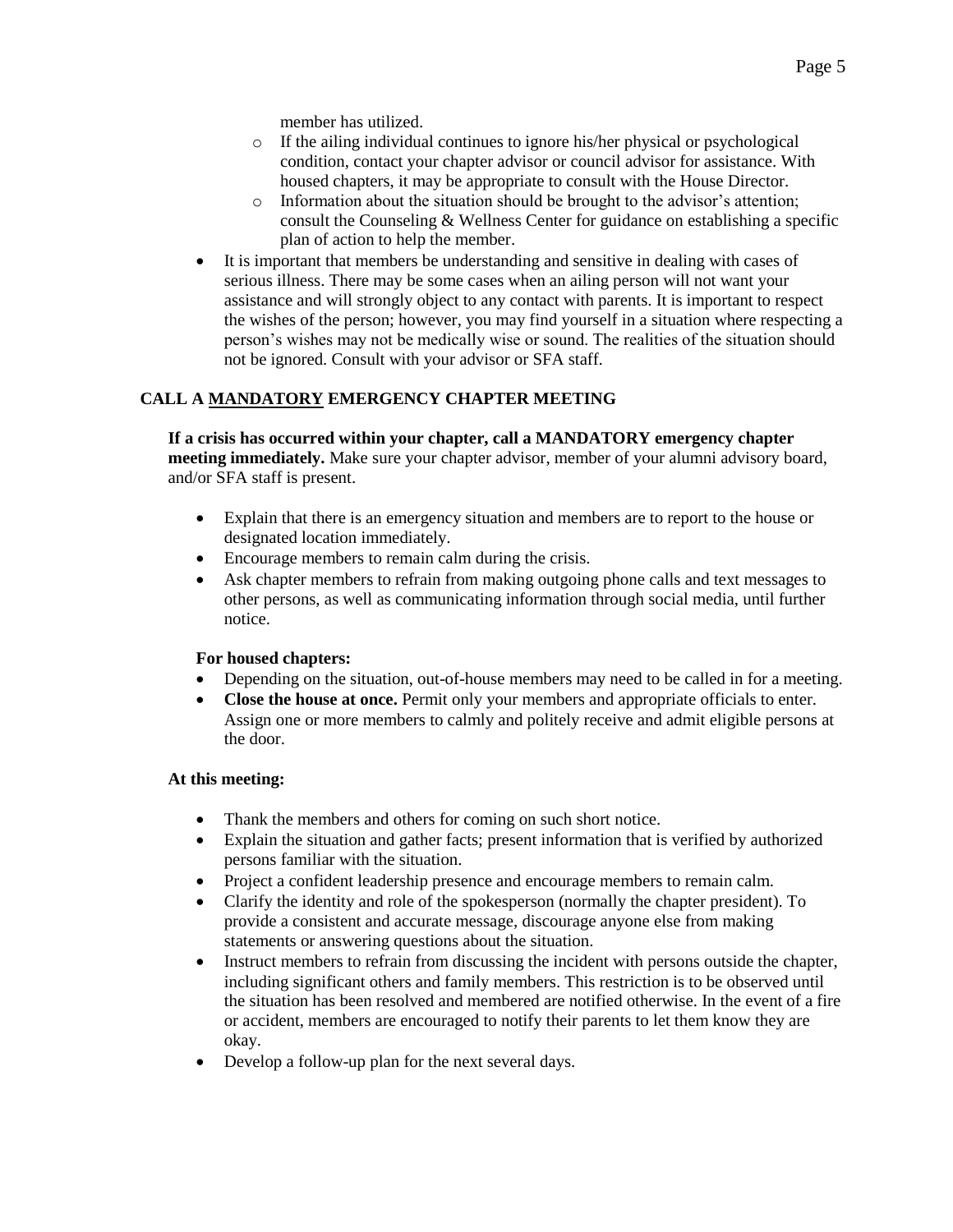member has utilized.

- o If the ailing individual continues to ignore his/her physical or psychological condition, contact your chapter advisor or council advisor for assistance. With housed chapters, it may be appropriate to consult with the House Director.
- $\circ$  Information about the situation should be brought to the advisor's attention; consult the Counseling & Wellness Center for guidance on establishing a specific plan of action to help the member.
- It is important that members be understanding and sensitive in dealing with cases of serious illness. There may be some cases when an ailing person will not want your assistance and will strongly object to any contact with parents. It is important to respect the wishes of the person; however, you may find yourself in a situation where respecting a person's wishes may not be medically wise or sound. The realities of the situation should not be ignored. Consult with your advisor or SFA staff.

# **CALL A MANDATORY EMERGENCY CHAPTER MEETING**

**If a crisis has occurred within your chapter, call a MANDATORY emergency chapter meeting immediately.** Make sure your chapter advisor, member of your alumni advisory board, and/or SFA staff is present.

- Explain that there is an emergency situation and members are to report to the house or designated location immediately.
- Encourage members to remain calm during the crisis.
- Ask chapter members to refrain from making outgoing phone calls and text messages to other persons, as well as communicating information through social media, until further notice.

# **For housed chapters:**

- Depending on the situation, out-of-house members may need to be called in for a meeting.
- **Close the house at once.** Permit only your members and appropriate officials to enter. Assign one or more members to calmly and politely receive and admit eligible persons at the door.

#### **At this meeting:**

- Thank the members and others for coming on such short notice.
- Explain the situation and gather facts; present information that is verified by authorized persons familiar with the situation.
- Project a confident leadership presence and encourage members to remain calm.
- Clarify the identity and role of the spokesperson (normally the chapter president). To provide a consistent and accurate message, discourage anyone else from making statements or answering questions about the situation.
- Instruct members to refrain from discussing the incident with persons outside the chapter, including significant others and family members. This restriction is to be observed until the situation has been resolved and membered are notified otherwise. In the event of a fire or accident, members are encouraged to notify their parents to let them know they are okay.
- Develop a follow-up plan for the next several days.